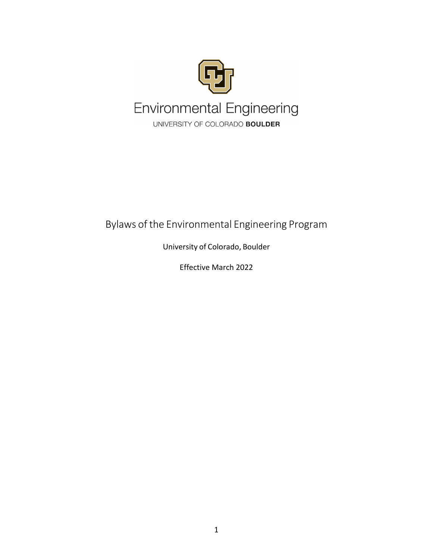

## Bylaws of the Environmental Engineering Program

University of Colorado, Boulder

Effective March 2022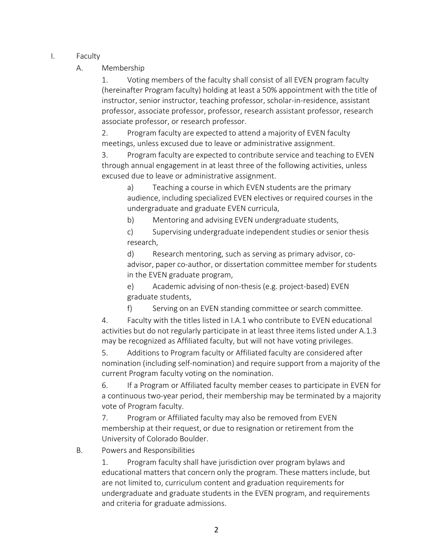- I. Faculty
	- A. Membership

1. Voting members of the faculty shall consist of all EVEN program faculty (hereinafter Program faculty) holding at least a 50% appointment with the title of instructor, senior instructor, teaching professor, scholar‐in‐residence, assistant professor, associate professor, professor, research assistant professor, research associate professor, or research professor.

2. Program faculty are expected to attend a majority of EVEN faculty meetings, unless excused due to leave or administrative assignment.

3. Program faculty are expected to contribute service and teaching to EVEN through annual engagement in at least three of the following activities, unless excused due to leave or administrative assignment.

a) Teaching a course in which EVEN students are the primary audience, including specialized EVEN electives or required courses in the undergraduate and graduate EVEN curricula,

b) Mentoring and advising EVEN undergraduate students,

c) Supervising undergraduate independent studies or senior thesis research,

d) Research mentoring, such as serving as primary advisor, co‐ advisor, paper co-author, or dissertation committee member for students in the EVEN graduate program,

e) Academic advising of non‐thesis (e.g. project‐based) EVEN graduate students,

f) Serving on an EVEN standing committee or search committee.

4. Faculty with the titles listed in I.A.1 who contribute to EVEN educational activities but do not regularly participate in at least three items listed under A.1.3 may be recognized as Affiliated faculty, but will not have voting privileges.

5. Additions to Program faculty or Affiliated faculty are considered after nomination (including self‐nomination) and require support from a majority of the current Program faculty voting on the nomination.

6. If a Program or Affiliated faculty member ceases to participate in EVEN for a continuous two‐year period, their membership may be terminated by a majority vote of Program faculty.

7. Program or Affiliated faculty may also be removed from EVEN membership at their request, or due to resignation or retirement from the University of Colorado Boulder.

B. Powers and Responsibilities

1. Program faculty shall have jurisdiction over program bylaws and educational matters that concern only the program. These matters include, but are not limited to, curriculum content and graduation requirements for undergraduate and graduate students in the EVEN program, and requirements and criteria for graduate admissions.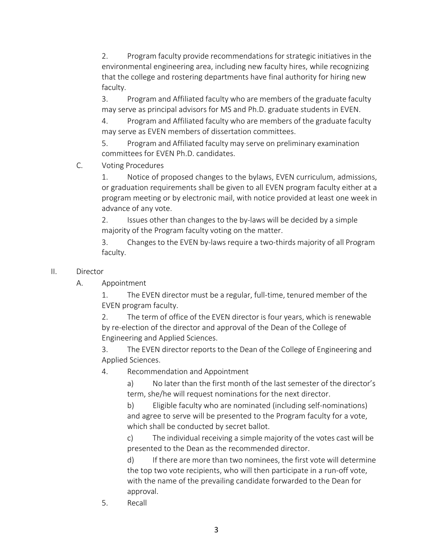2. Program faculty provide recommendations for strategic initiatives in the environmental engineering area, including new faculty hires, while recognizing that the college and rostering departments have final authority for hiring new faculty.

3. Program and Affiliated faculty who are members of the graduate faculty may serve as principal advisors for MS and Ph.D. graduate students in EVEN.

4. Program and Affiliated faculty who are members of the graduate faculty may serve as EVEN members of dissertation committees.

5. Program and Affiliated faculty may serve on preliminary examination committees for EVEN Ph.D. candidates.

C. Voting Procedures

1. Notice of proposed changes to the bylaws, EVEN curriculum, admissions, or graduation requirements shall be given to all EVEN program faculty either at a program meeting or by electronic mail, with notice provided at least one week in advance of any vote.

2. Issues other than changes to the by-laws will be decided by a simple majority of the Program faculty voting on the matter.

3. Changes to the EVEN by‐laws require a two‐thirds majority of all Program faculty.

## II. Director

A. Appointment

1. The EVEN director must be a regular, full‐time, tenured member of the EVEN program faculty.

2. The term of office of the EVEN director is four years, which is renewable by re‐election of the director and approval of the Dean of the College of Engineering and Applied Sciences.

3. The EVEN director reports to the Dean of the College of Engineering and Applied Sciences.

4. Recommendation and Appointment

a) No later than the first month of the last semester of the director's term, she/he will request nominations for the next director.

b) Eligible faculty who are nominated (including self‐nominations) and agree to serve will be presented to the Program faculty for a vote, which shall be conducted by secret ballot.

c) The individual receiving a simple majority of the votes cast will be presented to the Dean as the recommended director.

d) If there are more than two nominees, the first vote will determine the top two vote recipients, who will then participate in a run‐off vote, with the name of the prevailing candidate forwarded to the Dean for approval.

5. Recall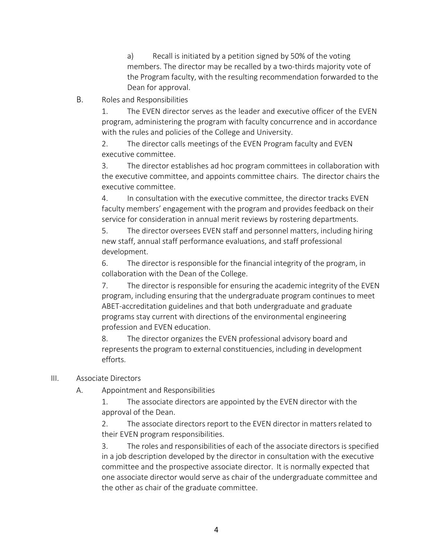a) Recall is initiated by a petition signed by 50% of the voting members. The director may be recalled by a two-thirds majority vote of the Program faculty, with the resulting recommendation forwarded to the Dean for approval.

B. Roles and Responsibilities

1. The EVEN director serves as the leader and executive officer of the EVEN program, administering the program with faculty concurrence and in accordance with the rules and policies of the College and University.

2. The director calls meetings of the EVEN Program faculty and EVEN executive committee.

3. The director establishes ad hoc program committees in collaboration with the executive committee, and appoints committee chairs. The director chairs the executive committee.

4. In consultation with the executive committee, the director tracks EVEN faculty members' engagement with the program and provides feedback on their service for consideration in annual merit reviews by rostering departments.

5. The director oversees EVEN staff and personnel matters, including hiring new staff, annual staff performance evaluations, and staff professional development.

6. The director is responsible for the financial integrity of the program, in collaboration with the Dean of the College.

7. The director is responsible for ensuring the academic integrity of the EVEN program, including ensuring that the undergraduate program continues to meet ABET‐accreditation guidelines and that both undergraduate and graduate programs stay current with directions of the environmental engineering profession and EVEN education.

8. The director organizes the EVEN professional advisory board and represents the program to external constituencies, including in development efforts.

## III. Associate Directors

A. Appointment and Responsibilities

1. The associate directors are appointed by the EVEN director with the approval of the Dean.

2. The associate directors report to the EVEN director in matters related to their EVEN program responsibilities.

3. The roles and responsibilities of each of the associate directors is specified in a job description developed by the director in consultation with the executive committee and the prospective associate director. It is normally expected that one associate director would serve as chair of the undergraduate committee and the other as chair of the graduate committee.